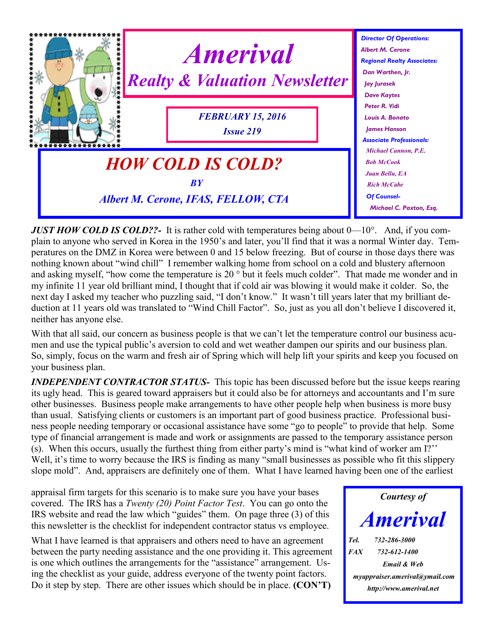

*JUST HOW COLD IS COLD??*- It is rather cold with temperatures being about  $0-10^{\circ}$ . And, if you complain to anyone who served in Korea in the 1950's and later, you'll find that it was a normal Winter day. Temperatures on the DMZ in Korea were between 0 and 15 below freezing. But of course in those days there was nothing known about "wind chill" I remember walking home from school on a cold and blustery afternoon and asking myself, "how come the temperature is 20 ° but it feels much colder". That made me wonder and in my infinite 11 year old brilliant mind, I thought that if cold air was blowing it would make it colder. So, the next day I asked my teacher who puzzling said, "I don't know." It wasn't till years later that my brilliant deduction at 11 years old was translated to "Wind Chill Factor". So, just as you all don't believe I discovered it, neither has anyone else.

With that all said, our concern as business people is that we can't let the temperature control our business acumen and use the typical public's aversion to cold and wet weather dampen our spirits and our business plan. So, simply, focus on the warm and fresh air of Spring which will help lift your spirits and keep you focused on your business plan.

*INDEPENDENT CONTRACTOR STATUS-* This topic has been discussed before but the issue keeps rearing its ugly head. This is geared toward appraisers but it could also be for attorneys and accountants and I'm sure other businesses. Business people make arrangements to have other people help when business is more busy than usual. Satisfying clients or customers is an important part of good business practice. Professional business people needing temporary or occasional assistance have some "go to people" to provide that help. Some type of financial arrangement is made and work or assignments are passed to the temporary assistance person (s). When this occurs, usually the furthest thing from either party's mind is "what kind of worker am I?'' Well, it's time to worry because the IRS is finding as many "small businesses as possible who fit this slippery slope mold". And, appraisers are definitely one of them. What I have learned having been one of the earliest

appraisal firm targets for this scenario is to make sure you have your bases covered. The IRS has a *Twenty (20) Point Factor Test*. You can go onto the IRS website and read the law which "guides" them. On page three (3) of this this newsletter is the checklist for independent contractor status vs employee.

What I have learned is that appraisers and others need to have an agreement between the party needing assistance and the one providing it. This agreement is one which outlines the arrangements for the "assistance" arrangement. Using the checklist as your guide, address everyone of the twenty point factors. Do it step by step. There are other issues which should be in place. **(CON'T)**

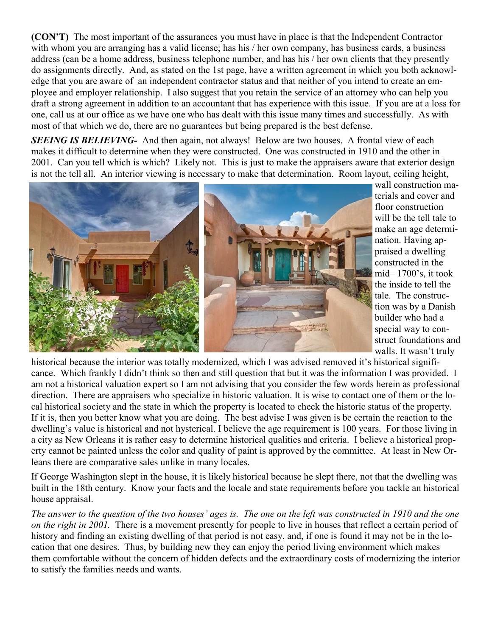**(CON'T)** The most important of the assurances you must have in place is that the Independent Contractor with whom you are arranging has a valid license; has his / her own company, has business cards, a business address (can be a home address, business telephone number, and has his / her own clients that they presently do assignments directly. And, as stated on the 1st page, have a written agreement in which you both acknowledge that you are aware of an independent contractor status and that neither of you intend to create an employee and employer relationship. I also suggest that you retain the service of an attorney who can help you draft a strong agreement in addition to an accountant that has experience with this issue. If you are at a loss for one, call us at our office as we have one who has dealt with this issue many times and successfully. As with most of that which we do, there are no guarantees but being prepared is the best defense.

*SEEING IS BELIEVING* And then again, not always! Below are two houses. A frontal view of each makes it difficult to determine when they were constructed. One was constructed in 1910 and the other in 2001. Can you tell which is which? Likely not. This is just to make the appraisers aware that exterior design is not the tell all. An interior viewing is necessary to make that determination. Room layout, ceiling height,



wall construction materials and cover and floor construction will be the tell tale to make an age determination. Having appraised a dwelling constructed in the mid– 1700's, it took the inside to tell the tale. The construction was by a Danish builder who had a special way to construct foundations and walls. It wasn't truly

historical because the interior was totally modernized, which I was advised removed it's historical significance. Which frankly I didn't think so then and still question that but it was the information I was provided. I am not a historical valuation expert so I am not advising that you consider the few words herein as professional direction. There are appraisers who specialize in historic valuation. It is wise to contact one of them or the local historical society and the state in which the property is located to check the historic status of the property. If it is, then you better know what you are doing. The best advise I was given is be certain the reaction to the dwelling's value is historical and not hysterical. I believe the age requirement is 100 years. For those living in a city as New Orleans it is rather easy to determine historical qualities and criteria. I believe a historical property cannot be painted unless the color and quality of paint is approved by the committee. At least in New Orleans there are comparative sales unlike in many locales.

If George Washington slept in the house, it is likely historical because he slept there, not that the dwelling was built in the 18th century. Know your facts and the locale and state requirements before you tackle an historical house appraisal.

*The answer to the question of the two houses' ages is. The one on the left was constructed in 1910 and the one on the right in 2001.* There is a movement presently for people to live in houses that reflect a certain period of history and finding an existing dwelling of that period is not easy, and, if one is found it may not be in the location that one desires. Thus, by building new they can enjoy the period living environment which makes them comfortable without the concern of hidden defects and the extraordinary costs of modernizing the interior to satisfy the families needs and wants.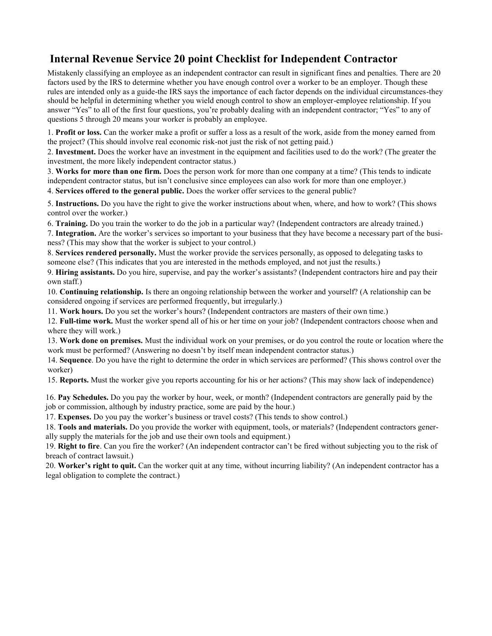## **Internal Revenue Service 20 point Checklist for Independent Contractor**

Mistakenly classifying an employee as an independent contractor can result in significant fines and penalties. There are 20 factors used by the IRS to determine whether you have enough control over a worker to be an employer. Though these rules are intended only as a guide-the IRS says the importance of each factor depends on the individual circumstances-they should be helpful in determining whether you wield enough control to show an employer-employee relationship. If you answer "Yes" to all of the first four questions, you're probably dealing with an independent contractor; "Yes" to any of questions 5 through 20 means your worker is probably an employee.

1. **Profit or loss.** Can the worker make a profit or suffer a loss as a result of the work, aside from the money earned from the project? (This should involve real economic risk-not just the risk of not getting paid.)

2. **Investment.** Does the worker have an investment in the equipment and facilities used to do the work? (The greater the investment, the more likely independent contractor status.)

3. **Works for more than one firm.** Does the person work for more than one company at a time? (This tends to indicate independent contractor status, but isn't conclusive since employees can also work for more than one employer.)

4. **Services offered to the general public.** Does the worker offer services to the general public?

5. **Instructions.** Do you have the right to give the worker instructions about when, where, and how to work? (This shows control over the worker.)

6. **Training.** Do you train the worker to do the job in a particular way? (Independent contractors are already trained.)

7. **Integration.** Are the worker's services so important to your business that they have become a necessary part of the business? (This may show that the worker is subject to your control.)

8. **Services rendered personally.** Must the worker provide the services personally, as opposed to delegating tasks to someone else? (This indicates that you are interested in the methods employed, and not just the results.)

9. **Hiring assistants.** Do you hire, supervise, and pay the worker's assistants? (Independent contractors hire and pay their own staff.)

10. **Continuing relationship.** Is there an ongoing relationship between the worker and yourself? (A relationship can be considered ongoing if services are performed frequently, but irregularly.)

11. **Work hours.** Do you set the worker's hours? (Independent contractors are masters of their own time.)

12. **Full-time work.** Must the worker spend all of his or her time on your job? (Independent contractors choose when and where they will work.)

13. **Work done on premises.** Must the individual work on your premises, or do you control the route or location where the work must be performed? (Answering no doesn't by itself mean independent contractor status.)

14. **Sequence**. Do you have the right to determine the order in which services are performed? (This shows control over the worker)

15. **Reports.** Must the worker give you reports accounting for his or her actions? (This may show lack of independence)

16. **Pay Schedules.** Do you pay the worker by hour, week, or month? (Independent contractors are generally paid by the job or commission, although by industry practice, some are paid by the hour.)

17. **Expenses.** Do you pay the worker's business or travel costs? (This tends to show control.)

18. **Tools and materials.** Do you provide the worker with equipment, tools, or materials? (Independent contractors generally supply the materials for the job and use their own tools and equipment.)

19. **Right to fire**. Can you fire the worker? (An independent contractor can't be fired without subjecting you to the risk of breach of contract lawsuit.)

20. **Worker's right to quit.** Can the worker quit at any time, without incurring liability? (An independent contractor has a legal obligation to complete the contract.)